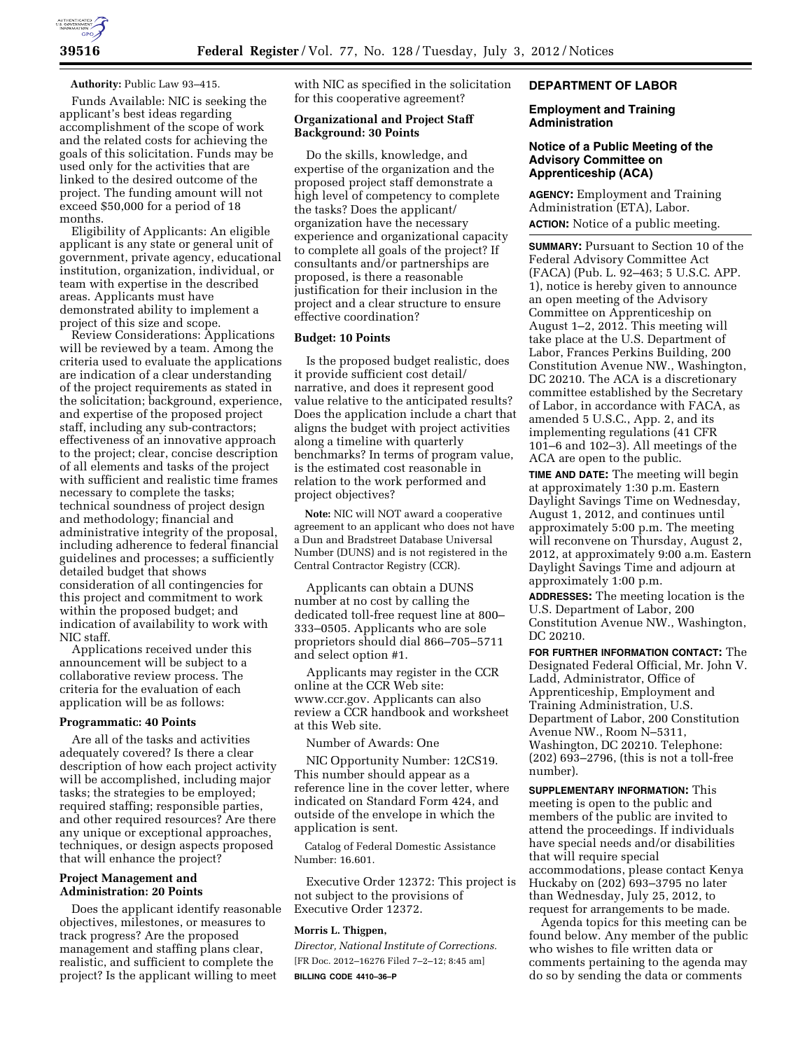

#### **Authority:** Public Law 93–415.

Funds Available: NIC is seeking the applicant's best ideas regarding accomplishment of the scope of work and the related costs for achieving the goals of this solicitation. Funds may be used only for the activities that are linked to the desired outcome of the project. The funding amount will not exceed \$50,000 for a period of 18 months.

Eligibility of Applicants: An eligible applicant is any state or general unit of government, private agency, educational institution, organization, individual, or team with expertise in the described areas. Applicants must have demonstrated ability to implement a project of this size and scope.

Review Considerations: Applications will be reviewed by a team. Among the criteria used to evaluate the applications are indication of a clear understanding of the project requirements as stated in the solicitation; background, experience, and expertise of the proposed project staff, including any sub-contractors; effectiveness of an innovative approach to the project; clear, concise description of all elements and tasks of the project with sufficient and realistic time frames necessary to complete the tasks; technical soundness of project design and methodology; financial and administrative integrity of the proposal, including adherence to federal financial guidelines and processes; a sufficiently detailed budget that shows consideration of all contingencies for this project and commitment to work within the proposed budget; and indication of availability to work with NIC staff.

Applications received under this announcement will be subject to a collaborative review process. The criteria for the evaluation of each application will be as follows:

# **Programmatic: 40 Points**

Are all of the tasks and activities adequately covered? Is there a clear description of how each project activity will be accomplished, including major tasks; the strategies to be employed; required staffing; responsible parties, and other required resources? Are there any unique or exceptional approaches, techniques, or design aspects proposed that will enhance the project?

### **Project Management and Administration: 20 Points**

Does the applicant identify reasonable objectives, milestones, or measures to track progress? Are the proposed management and staffing plans clear, realistic, and sufficient to complete the project? Is the applicant willing to meet

with NIC as specified in the solicitation for this cooperative agreement?

## **Organizational and Project Staff Background: 30 Points**

Do the skills, knowledge, and expertise of the organization and the proposed project staff demonstrate a high level of competency to complete the tasks? Does the applicant/ organization have the necessary experience and organizational capacity to complete all goals of the project? If consultants and/or partnerships are proposed, is there a reasonable justification for their inclusion in the project and a clear structure to ensure effective coordination?

#### **Budget: 10 Points**

Is the proposed budget realistic, does it provide sufficient cost detail/ narrative, and does it represent good value relative to the anticipated results? Does the application include a chart that aligns the budget with project activities along a timeline with quarterly benchmarks? In terms of program value, is the estimated cost reasonable in relation to the work performed and project objectives?

**Note:** NIC will NOT award a cooperative agreement to an applicant who does not have a Dun and Bradstreet Database Universal Number (DUNS) and is not registered in the Central Contractor Registry (CCR).

Applicants can obtain a DUNS number at no cost by calling the dedicated toll-free request line at 800– 333–0505. Applicants who are sole proprietors should dial 866–705–5711 and select option #1.

Applicants may register in the CCR online at the CCR Web site: [www.ccr.gov.](http://www.ccr.gov) Applicants can also review a CCR handbook and worksheet at this Web site.

Number of Awards: One

NIC Opportunity Number: 12CS19. This number should appear as a reference line in the cover letter, where indicated on Standard Form 424, and outside of the envelope in which the application is sent.

Catalog of Federal Domestic Assistance Number: 16.601.

Executive Order 12372: This project is not subject to the provisions of Executive Order 12372.

#### **Morris L. Thigpen,**

*Director, National Institute of Corrections.*  [FR Doc. 2012–16276 Filed 7–2–12; 8:45 am] **BILLING CODE 4410–36–P** 

# **DEPARTMENT OF LABOR**

### **Employment and Training Administration**

## **Notice of a Public Meeting of the Advisory Committee on Apprenticeship (ACA)**

**AGENCY:** Employment and Training Administration (ETA), Labor. **ACTION:** Notice of a public meeting.

**SUMMARY:** Pursuant to Section 10 of the Federal Advisory Committee Act (FACA) (Pub. L. 92–463; 5 U.S.C. APP. 1), notice is hereby given to announce an open meeting of the Advisory Committee on Apprenticeship on August 1–2, 2012. This meeting will take place at the U.S. Department of Labor, Frances Perkins Building, 200 Constitution Avenue NW., Washington, DC 20210. The ACA is a discretionary committee established by the Secretary of Labor, in accordance with FACA, as amended 5 U.S.C., App. 2, and its implementing regulations (41 CFR 101–6 and 102–3). All meetings of the ACA are open to the public.

**TIME AND DATE:** The meeting will begin at approximately 1:30 p.m. Eastern Daylight Savings Time on Wednesday, August 1, 2012, and continues until approximately 5:00 p.m. The meeting will reconvene on Thursday, August 2, 2012, at approximately 9:00 a.m. Eastern Daylight Savings Time and adjourn at approximately 1:00 p.m.

**ADDRESSES:** The meeting location is the U.S. Department of Labor, 200 Constitution Avenue NW., Washington, DC 20210.

**FOR FURTHER INFORMATION CONTACT:** The Designated Federal Official, Mr. John V. Ladd, Administrator, Office of Apprenticeship, Employment and Training Administration, U.S. Department of Labor, 200 Constitution Avenue NW., Room N–5311, Washington, DC 20210. Telephone: (202) 693–2796, (this is not a toll-free number).

**SUPPLEMENTARY INFORMATION:** This meeting is open to the public and members of the public are invited to attend the proceedings. If individuals have special needs and/or disabilities that will require special accommodations, please contact Kenya Huckaby on (202) 693–3795 no later than Wednesday, July 25, 2012, to request for arrangements to be made.

Agenda topics for this meeting can be found below. Any member of the public who wishes to file written data or comments pertaining to the agenda may do so by sending the data or comments